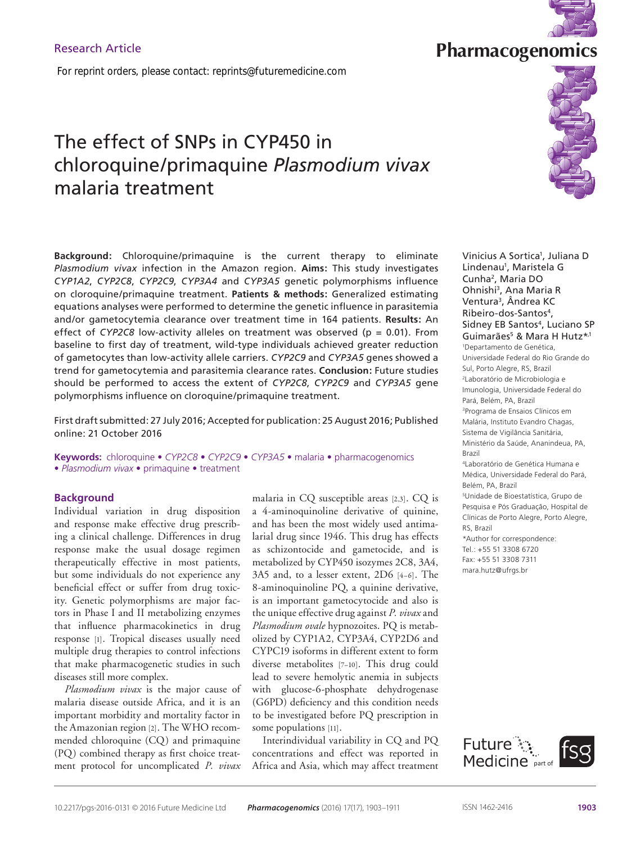*For reprint orders, please contact: reprints@futuremedicine.com*

# The effect of SNPs in CYP450 in chloroquine/primaquine *Plasmodium vivax* malaria treatment

**Background:** Chloroquine/primaquine is the current therapy to eliminate *Plasmodium vivax* infection in the Amazon region. **Aims:** This study investigates *CYP1A2*, *CYP2C8*, *CYP2C9*, *CYP3A4* and *CYP3A5* genetic polymorphisms influence on cloroquine/primaquine treatment. **Patients & methods:** Generalized estimating equations analyses were performed to determine the genetic influence in parasitemia and/or gametocytemia clearance over treatment time in 164 patients. **Results:** An effect of *CYP2C8* low-activity alleles on treatment was observed ( $p = 0.01$ ). From baseline to first day of treatment, wild-type individuals achieved greater reduction of gametocytes than low-activity allele carriers. *CYP2C9* and *CYP3A5* genes showed a trend for gametocytemia and parasitemia clearance rates. **Conclusion:** Future studies should be performed to access the extent of *CYP2C8*, *CYP2C9* and *CYP3A5* gene polymorphisms influence on cloroquine/primaquine treatment.

First draft submitted: 27 July 2016; Accepted for publication: 25 August 2016; Published online: 21 October 2016

**Keywords:** chloroquine • *CYP2C8* • *CYP2C9* • *CYP3A5* • malaria • pharmacogenomics • *Plasmodium vivax* • primaquine • treatment

## **Background**

Individual variation in drug disposition and response make effective drug prescribing a clinical challenge. Differences in drug response make the usual dosage regimen therapeutically effective in most patients, but some individuals do not experience any beneficial effect or suffer from drug toxicity. Genetic polymorphisms are major factors in Phase I and II metabolizing enzymes that influence pharmacokinetics in drug response [1]. Tropical diseases usually need multiple drug therapies to control infections that make pharmacogenetic studies in such diseases still more complex.

*Plasmodium vivax* is the major cause of malaria disease outside Africa, and it is an important morbidity and mortality factor in the Amazonian region [2]. The WHO recommended chloroquine (CQ) and primaquine (PQ) combined therapy as first choice treatment protocol for uncomplicated *P. vivax* malaria in CQ susceptible areas [2,3]. CQ is a 4-aminoquinoline derivative of quinine, and has been the most widely used antimalarial drug since 1946. This drug has effects as schizontocide and gametocide, and is metabolized by CYP450 isozymes 2C8, 3A4, 3A5 and, to a lesser extent, 2D6 [4–6]. The 8-aminoquinoline PQ, a quinine derivative, is an important gametocytocide and also is the unique effective drug against *P. vivax* and *Plasmodium ovale* hypnozoites. PQ is metabolized by CYP1A2, CYP3A4, CYP2D6 and CYPC19 isoforms in different extent to form diverse metabolites [7–10]. This drug could lead to severe hemolytic anemia in subjects with glucose-6-phosphate dehydrogenase (G6PD) deficiency and this condition needs to be investigated before PQ prescription in some populations [11].

Interindividual variability in CQ and PQ concentrations and effect was reported in Africa and Asia, which may affect treatment

Vinicius A Sortica<sup>1</sup>, Juliana D Lindenau<sup>1</sup>, Maristela G Cunha2, Maria DO Ohnishi3, Ana Maria R Ventura3, Ândrea KC Ribeiro-dos-Santos4, Sidney EB Santos<sup>4</sup>, Luciano SP Guimarães<sup>5</sup> & Mara H Hutz\*<sup>,1</sup> 1 Departamento de Genética, Universidade Federal do Rio Grande do Sul, Porto Alegre, RS, Brazil

2 Laboratório de Microbiologia e Imunologia, Universidade Federal do Pará, Belém, PA, Brazil <sup>3</sup>Programa de Ensaios Clínicos em Malária, Instituto Evandro Chagas,

Sistema de Vigilância Sanitária, Ministério da Saúde, Ananindeua, PA, Brazil

<sup>4</sup>Laboratório de Genética Humana e Médica, Universidade Federal do Pará, Belém, PA, Brazil <sup>5</sup>Unidade de Bioestatística, Grupo de

Pesquisa e Pós Graduação, Hospital de Clínicas de Porto Alegre, Porto Alegre, RS, Brazil

\*Author for correspondence: Tel.: +55 51 3308 6720 Fax: +55 51 3308 7311 mara.hutz@ufrgs.br



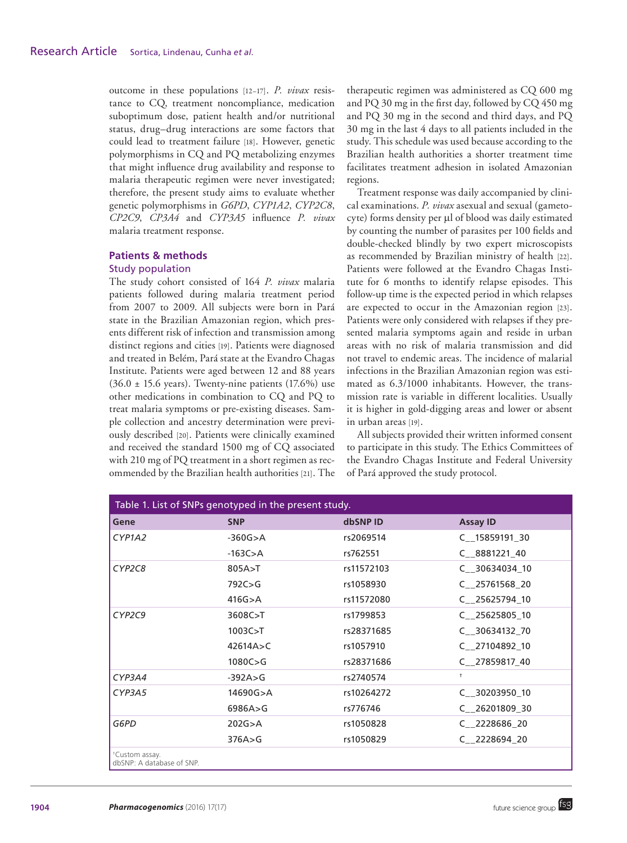outcome in these populations [12–17]. *P. vivax* resistance to CQ, treatment noncompliance, medication suboptimum dose, patient health and/or nutritional status, drug–drug interactions are some factors that could lead to treatment failure [18]. However, genetic polymorphisms in CQ and PQ metabolizing enzymes that might influence drug availability and response to malaria therapeutic regimen were never investigated; therefore, the present study aims to evaluate whether genetic polymorphisms in *G6PD*, *CYP1A2*, *CYP2C8*, *CP2C9*, *CP3A4* and *CYP3A5* influence *P. vivax* malaria treatment response.

## **Patients & methods**  Study population

The study cohort consisted of 164 *P. vivax* malaria patients followed during malaria treatment period from 2007 to 2009. All subjects were born in Pará state in the Brazilian Amazonian region, which presents different risk of infection and transmission among distinct regions and cities [19]. Patients were diagnosed and treated in Belém, Pará state at the Evandro Chagas Institute. Patients were aged between 12 and 88 years  $(36.0 \pm 15.6 \text{ years})$ . Twenty-nine patients  $(17.6\%)$  use other medications in combination to CQ and PQ to treat malaria symptoms or pre-existing diseases. Sample collection and ancestry determination were previously described [20]. Patients were clinically examined and received the standard 1500 mg of CQ associated with 210 mg of PQ treatment in a short regimen as recommended by the Brazilian health authorities [21]. The

therapeutic regimen was administered as CQ 600 mg and PQ 30 mg in the first day, followed by CQ 450 mg and PQ 30 mg in the second and third days, and PQ 30 mg in the last 4 days to all patients included in the study. This schedule was used because according to the Brazilian health authorities a shorter treatment time facilitates treatment adhesion in isolated Amazonian regions.

Treatment response was daily accompanied by clinical examinations. *P. vivax* asexual and sexual (gametocyte) forms density per μl of blood was daily estimated by counting the number of parasites per 100 fields and double-checked blindly by two expert microscopists as recommended by Brazilian ministry of health [22]. Patients were followed at the Evandro Chagas Institute for 6 months to identify relapse episodes. This follow-up time is the expected period in which relapses are expected to occur in the Amazonian region [23]. Patients were only considered with relapses if they presented malaria symptoms again and reside in urban areas with no risk of malaria transmission and did not travel to endemic areas. The incidence of malarial infections in the Brazilian Amazonian region was estimated as 6.3/1000 inhabitants. However, the transmission rate is variable in different localities. Usually it is higher in gold-digging areas and lower or absent in urban areas [19].

All subjects provided their written informed consent to participate in this study. The Ethics Committees of the Evandro Chagas Institute and Federal University of Pará approved the study protocol.

| Table 1. List of SNPs genotyped in the present study.   |             |            |                 |  |  |  |
|---------------------------------------------------------|-------------|------------|-----------------|--|--|--|
| Gene                                                    | <b>SNP</b>  | dbSNP ID   | <b>Assay ID</b> |  |  |  |
| CYP <sub>1</sub> A <sub>2</sub>                         | $-360G > A$ | rs2069514  | C 15859191 30   |  |  |  |
|                                                         | $-163C$ >A  | rs762551   | C 8881221 40    |  |  |  |
| CYP2C8                                                  | 805A > T    | rs11572103 | C 30634034 10   |  |  |  |
|                                                         | 792C > G    | rs1058930  | C_25761568_20   |  |  |  |
|                                                         | 416G > A    | rs11572080 | $C$ 25625794 10 |  |  |  |
| CYP2C9                                                  | 3608C > T   | rs1799853  | $C$ 25625805 10 |  |  |  |
|                                                         | 1003C > T   | rs28371685 | C 30634132 70   |  |  |  |
|                                                         | 42614A > C  | rs1057910  | C 27104892 10   |  |  |  |
|                                                         | 1080C > G   | rs28371686 | C 27859817 40   |  |  |  |
| CYP3A4                                                  | $-392A > G$ | rs2740574  | $\ddagger$      |  |  |  |
| CYP3A5                                                  | 14690G>A    | rs10264272 | C 30203950 10   |  |  |  |
|                                                         | 6986A > G   | rs776746   | C 26201809 30   |  |  |  |
| G6PD                                                    | 202G > A    | rs1050828  | $C_{222868620}$ |  |  |  |
|                                                         | 376A > G    | rs1050829  | $C$ 2228694 20  |  |  |  |
| <sup>†</sup> Custom assay.<br>dbSNP: A database of SNP. |             |            |                 |  |  |  |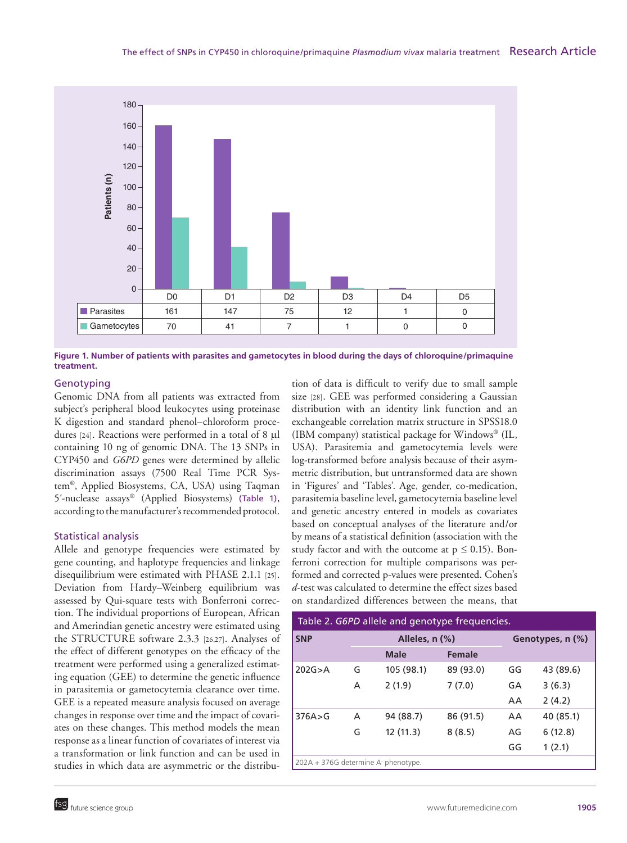

**Figure 1. Number of patients with parasites and gametocytes in blood during the days of chloroquine/primaquine treatment.**

# Genotyping

Genomic DNA from all patients was extracted from subject's peripheral blood leukocytes using proteinase K digestion and standard phenol–chloroform procedures [24]. Reactions were performed in a total of 8 μl containing 10 ng of genomic DNA. The 13 SNPs in CYP450 and *G6PD* genes were determined by allelic discrimination assays (7500 Real Time PCR System®, Applied Biosystems, CA, USA) using Taqman 5´-nuclease assays® (Applied Biosystems) (Table 1), according to the manufacturer's recommended protocol.

# Statistical analysis

Allele and genotype frequencies were estimated by gene counting, and haplotype frequencies and linkage disequilibrium were estimated with PHASE 2.1.1 [25]. Deviation from Hardy–Weinberg equilibrium was assessed by Qui-square tests with Bonferroni correction. The individual proportions of European, African and Amerindian genetic ancestry were estimated using the STRUCTURE software 2.3.3 [26,27]. Analyses of the effect of different genotypes on the efficacy of the treatment were performed using a generalized estimating equation (GEE) to determine the genetic influence in parasitemia or gametocytemia clearance over time. GEE is a repeated measure analysis focused on average changes in response over time and the impact of covariates on these changes. This method models the mean response as a linear function of covariates of interest via a transformation or link function and can be used in studies in which data are asymmetric or the distribution of data is difficult to verify due to small sample size [28]. GEE was performed considering a Gaussian distribution with an identity link function and an exchangeable correlation matrix structure in SPSS18.0 (IBM company) statistical package for Windows® (IL, USA). Parasitemia and gametocytemia levels were log-transformed before analysis because of their asymmetric distribution, but untransformed data are shown in 'Figures' and 'Tables'. Age, gender, co-medication, parasitemia baseline level, gametocytemia baseline level and genetic ancestry entered in models as covariates based on conceptual analyses of the literature and/or by means of a statistical definition (association with the study factor and with the outcome at  $p \le 0.15$ ). Bonferroni correction for multiple comparisons was performed and corrected p-values were presented. Cohen's *d*-test was calculated to determine the effect sizes based on standardized differences between the means, that

| Table 2. G6PD allele and genotype frequencies. |   |                |               |    |                  |  |  |
|------------------------------------------------|---|----------------|---------------|----|------------------|--|--|
| <b>SNP</b>                                     |   | Alleles, n (%) |               |    | Genotypes, n (%) |  |  |
|                                                |   | <b>Male</b>    | <b>Female</b> |    |                  |  |  |
| 202G > A                                       | G | 105 (98.1)     | 89 (93.0)     | GG | 43 (89.6)        |  |  |
|                                                | A | 2(1.9)         | 7(7.0)        | GA | 3(6.3)           |  |  |
|                                                |   |                |               | AA | 2(4.2)           |  |  |
| 376A > G                                       | A | 94 (88.7)      | 86 (91.5)     | AA | 40 (85.1)        |  |  |
|                                                | G | 12(11.3)       | 8(8.5)        | AG | 6(12.8)          |  |  |
|                                                |   |                |               | GG | 1(2.1)           |  |  |
| 202A + 376G determine A phenotype.             |   |                |               |    |                  |  |  |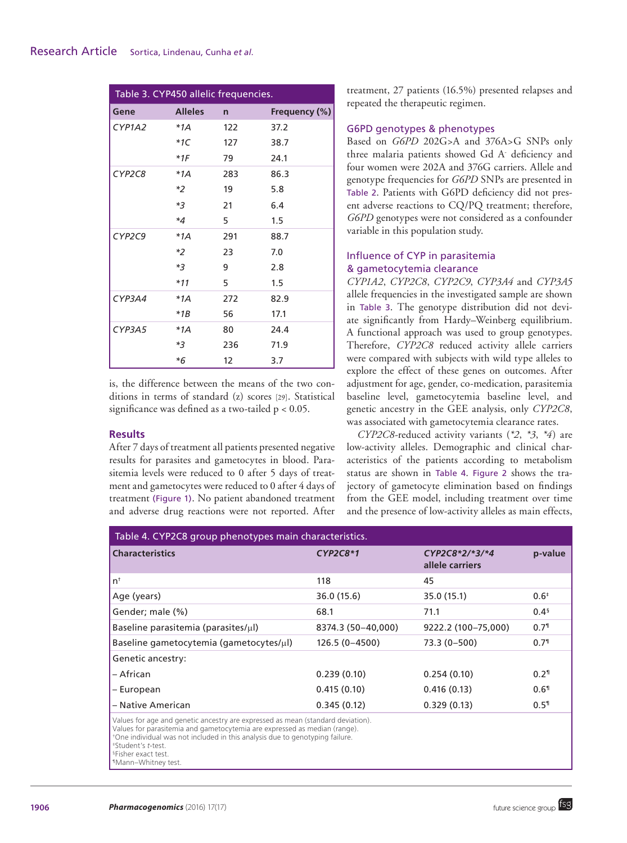| Table 3. CYP450 allelic frequencies. |                |              |               |  |  |
|--------------------------------------|----------------|--------------|---------------|--|--|
| Gene                                 | <b>Alleles</b> | $\mathsf{n}$ | Frequency (%) |  |  |
| CYP1A2                               | $*1A$          | 122          | 37.2          |  |  |
|                                      | $*1C$          | 127          | 38.7          |  |  |
|                                      | $*1F$          | 79           | 24.1          |  |  |
| CYP2C8                               | $*1A$          | 283          | 86.3          |  |  |
|                                      | *2             | 19           | 5.8           |  |  |
|                                      | $*3$           | 21           | 6.4           |  |  |
|                                      | $*4$           | 5.           | 1.5           |  |  |
| CYP2C9                               | $*1A$          | 291          | 88.7          |  |  |
|                                      | *2             | 23           | 7.0           |  |  |
|                                      | $*3$           | 9            | 2.8           |  |  |
|                                      | $*11$          | 5            | 1.5           |  |  |
| CYP3A4                               | $*1A$          | 272          | 82.9          |  |  |
|                                      | $*1B$          | 56           | 17.1          |  |  |
| CYP3A5                               | $*1A$          | 80           | 24.4          |  |  |
|                                      | *3             | 236          | 71.9          |  |  |
|                                      | *6             | 12           | 3.7           |  |  |

is, the difference between the means of the two conditions in terms of standard (z) scores [29]. Statistical significance was defined as a two-tailed p < 0.05.

# **Results**

After 7 days of treatment all patients presented negative results for parasites and gametocytes in blood. Parasitemia levels were reduced to 0 after 5 days of treatment and gametocytes were reduced to 0 after 4 days of treatment (Figure 1). No patient abandoned treatment and adverse drug reactions were not reported. After

treatment, 27 patients (16.5%) presented relapses and repeated the therapeutic regimen.

## G6PD genotypes & phenotypes

Based on *G6PD* 202G>A and 376A>G SNPs only three malaria patients showed Gd A<sup>-</sup> deficiency and four women were 202A and 376G carriers. Allele and genotype frequencies for *G6PD* SNPs are presented in Table 2. Patients with G6PD deficiency did not present adverse reactions to CQ/PQ treatment; therefore, *G6PD* genotypes were not considered as a confounder variable in this population study.

# Influence of CYP in parasitemia & gametocytemia clearance

*CYP1A2*, *CYP2C8*, *CYP2C9*, *CYP3A4* and *CYP3A5* allele frequencies in the investigated sample are shown in Table 3. The genotype distribution did not deviate significantly from Hardy–Weinberg equilibrium. A functional approach was used to group genotypes. Therefore, *CYP2C8* reduced activity allele carriers were compared with subjects with wild type alleles to explore the effect of these genes on outcomes. After adjustment for age, gender, co-medication, parasitemia baseline level, gametocytemia baseline level, and genetic ancestry in the GEE analysis, only *CYP2C8*, was associated with gametocytemia clearance rates.

*CYP2C8*-reduced activity variants (*\*2*, *\*3*, *\*4*) are low-activity alleles. Demographic and clinical characteristics of the patients according to metabolism status are shown in Table 4. Figure 2 shows the trajectory of gametocyte elimination based on findings from the GEE model, including treatment over time and the presence of low-activity alleles as main effects,

| Table 4. CYP2C8 group phenotypes main characteristics.                                                                                                                                                                                       |                    |                                     |                    |  |  |  |  |
|----------------------------------------------------------------------------------------------------------------------------------------------------------------------------------------------------------------------------------------------|--------------------|-------------------------------------|--------------------|--|--|--|--|
| <b>Characteristics</b>                                                                                                                                                                                                                       | $CYP2C8*1$         | $CYP2C8*2/*3/*4$<br>allele carriers | p-value            |  |  |  |  |
| $n^{\dagger}$                                                                                                                                                                                                                                | 118                | 45                                  |                    |  |  |  |  |
| Age (years)                                                                                                                                                                                                                                  | 36.0 (15.6)        | 35.0 (15.1)                         | $0.6^{*}$          |  |  |  |  |
| Gender; male (%)                                                                                                                                                                                                                             | 68.1               | 71.1                                | 0.4 <sup>5</sup>   |  |  |  |  |
| Baseline parasitemia (parasites/ $\mu$ l)                                                                                                                                                                                                    | 8374.3 (50-40,000) | 9222.2 (100-75,000)                 | $0.7^{\circ}$      |  |  |  |  |
| Baseline gametocytemia (gametocytes/µl)                                                                                                                                                                                                      | $126.5(0-4500)$    | $73.3(0-500)$                       | 0.7 <sup>1</sup>   |  |  |  |  |
| Genetic ancestry:                                                                                                                                                                                                                            |                    |                                     |                    |  |  |  |  |
| – African                                                                                                                                                                                                                                    | 0.239(0.10)        | 0.254(0.10)                         | $0.2$ <sup>1</sup> |  |  |  |  |
| – European                                                                                                                                                                                                                                   | 0.415(0.10)        | 0.416(0.13)                         | $0.6$ <sup>1</sup> |  |  |  |  |
| - Native American                                                                                                                                                                                                                            | 0.345(0.12)        | 0.329(0.13)                         | $0.5$ <sup>1</sup> |  |  |  |  |
| Values for age and genetic ancestry are expressed as mean (standard deviation).<br>Values for parasitemia and gametocytemia are expressed as median (range).<br>*One individual was not included in this analysis due to genotyping failure. |                    |                                     |                    |  |  |  |  |

<sup>‡</sup>Student's *t*-test.

<sup>§</sup>Fisher exact test.

<sup>¶</sup>Mann–Whitney test.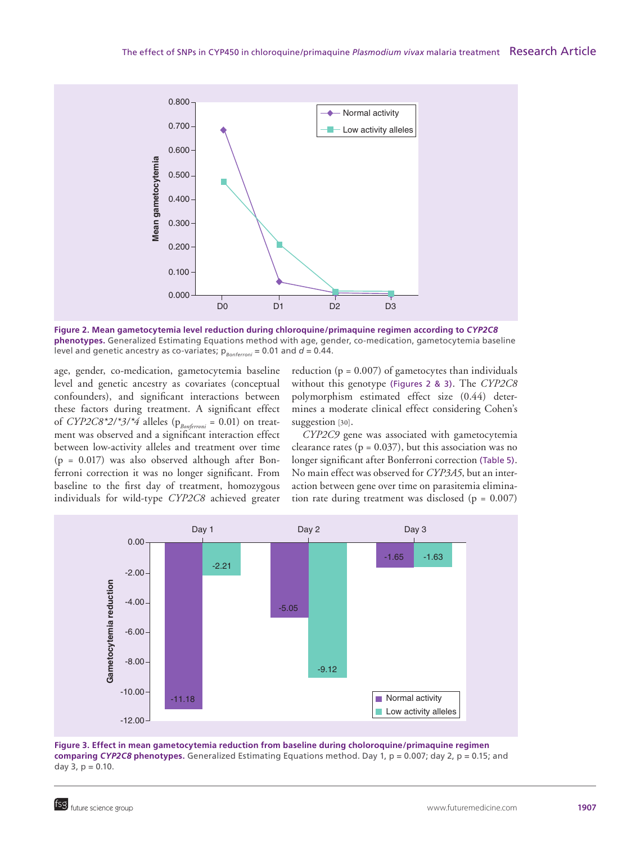

**Figure 2. Mean gametocytemia level reduction during chloroquine/primaquine regimen according to** *CYP2C8* **phenotypes.** Generalized Estimating Equations method with age, gender, co-medication, gametocytemia baseline level and genetic ancestry as co-variates;  $p_{\text{Bonferoni}} = 0.01$  and  $d = 0.44$ .

age, gender, co-medication, gametocytemia baseline level and genetic ancestry as covariates (conceptual confounders), and significant interactions between these factors during treatment. A significant effect of *CYP2C8\*2/\*3/\*4* alleles ( $p_{\text{Bonferroni}} = 0.01$ ) on treatment was observed and a significant interaction effect between low-activity alleles and treatment over time (p = 0.017) was also observed although after Bonferroni correction it was no longer significant. From baseline to the first day of treatment, homozygous individuals for wild-type *CYP2C8* achieved greater reduction ( $p = 0.007$ ) of gametocytes than individuals without this genotype (Figures 2 & 3). The *CYP2C8* polymorphism estimated effect size (0.44) determines a moderate clinical effect considering Cohen's suggestion [30].

*CYP2C9* gene was associated with gametocytemia clearance rates ( $p = 0.037$ ), but this association was no longer significant after Bonferroni correction (Table 5). No main effect was observed for *CYP3A5*, but an interaction between gene over time on parasitemia elimination rate during treatment was disclosed ( $p = 0.007$ )



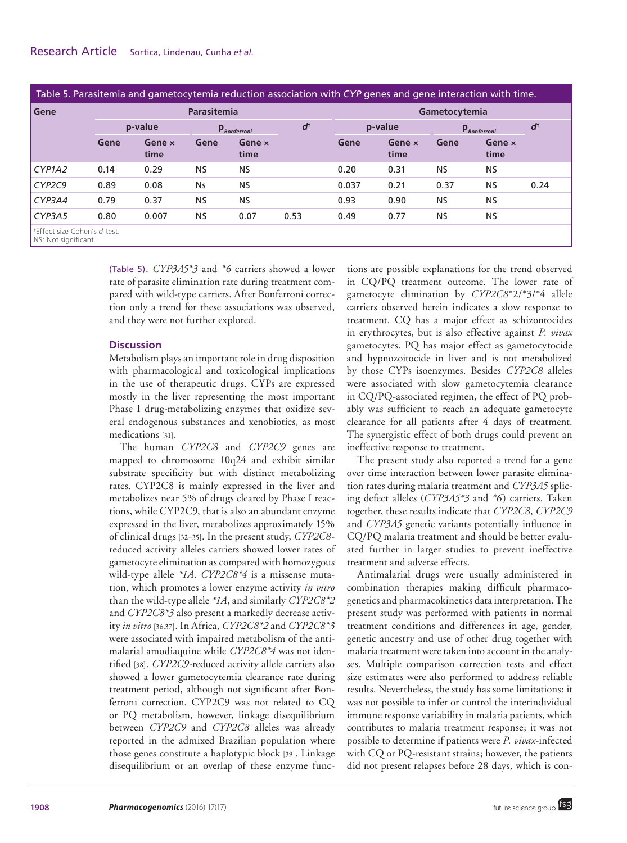| Table 5. Parasitemia and gametocytemia reduction association with CYP genes and gene interaction with time. |         |                |                                                      |                |      |               |                |                                                      |                |               |
|-------------------------------------------------------------------------------------------------------------|---------|----------------|------------------------------------------------------|----------------|------|---------------|----------------|------------------------------------------------------|----------------|---------------|
| Gene                                                                                                        |         | Parasitemia    |                                                      |                |      | Gametocytemia |                |                                                      |                |               |
|                                                                                                             | p-value |                | $\mathsf{p}_{\scriptscriptstyle\mathit{Bonferroni}}$ |                | ď    | p-value       |                | $\mathsf{p}_{\scriptscriptstyle\mathit{Bonferroni}}$ |                | $d^{\dagger}$ |
|                                                                                                             | Gene    | Gene x<br>time | Gene                                                 | Gene x<br>time |      | Gene          | Gene x<br>time | Gene                                                 | Gene x<br>time |               |
| CYP1A2                                                                                                      | 0.14    | 0.29           | NS.                                                  | NS.            |      | 0.20          | 0.31           | <b>NS</b>                                            | <b>NS</b>      |               |
| CYP2C9                                                                                                      | 0.89    | 0.08           | <b>Ns</b>                                            | <b>NS</b>      |      | 0.037         | 0.21           | 0.37                                                 | <b>NS</b>      | 0.24          |
| CYP3A4                                                                                                      | 0.79    | 0.37           | NS.                                                  | <b>NS</b>      |      | 0.93          | 0.90           | <b>NS</b>                                            | <b>NS</b>      |               |
| CYP3A5                                                                                                      | 0.80    | 0.007          | <b>NS</b>                                            | 0.07           | 0.53 | 0.49          | 0.77           | <b>NS</b>                                            | <b>NS</b>      |               |
| *Effect size Cohen's d-test.<br>NS: Not significant.                                                        |         |                |                                                      |                |      |               |                |                                                      |                |               |

(Table 5). *CYP3A5\*3* and *\*6* carriers showed a lower rate of parasite elimination rate during treatment compared with wild-type carriers. After Bonferroni correction only a trend for these associations was observed, and they were not further explored.

## **Discussion**

Metabolism plays an important role in drug disposition with pharmacological and toxicological implications in the use of therapeutic drugs. CYPs are expressed mostly in the liver representing the most important Phase I drug-metabolizing enzymes that oxidize several endogenous substances and xenobiotics, as most medications [31].

The human *CYP2C8* and *CYP2C9* genes are mapped to chromosome 10q24 and exhibit similar substrate specificity but with distinct metabolizing rates. CYP2C8 is mainly expressed in the liver and metabolizes near 5% of drugs cleared by Phase I reactions, while CYP2C9, that is also an abundant enzyme expressed in the liver, metabolizes approximately 15% of clinical drugs [32–35]. In the present study, *CYP2C8* reduced activity alleles carriers showed lower rates of gametocyte elimination as compared with homozygous wild-type allele *\*1A*. *CYP2C8\*4* is a missense mutation, which promotes a lower enzyme activity *in vitro* than the wild-type allele *\*1A*, and similarly *CYP2C8\*2* and *CYP2C8\*3* also present a markedly decrease activity *in vitro* [36,37]. In Africa, *CYP2C8\*2* and *CYP2C8\*3* were associated with impaired metabolism of the antimalarial amodiaquine while *CYP2C8\*4* was not identified [38]. *CYP2C9*-reduced activity allele carriers also showed a lower gametocytemia clearance rate during treatment period, although not significant after Bonferroni correction. CYP2C9 was not related to CQ or PQ metabolism, however, linkage disequilibrium between *CYP2C9* and *CYP2C8* alleles was already reported in the admixed Brazilian population where those genes constitute a haplotypic block [39]. Linkage disequilibrium or an overlap of these enzyme functions are possible explanations for the trend observed in CQ/PQ treatment outcome. The lower rate of gametocyte elimination by *CYP2C8*\*2/\*3/\*4 allele carriers observed herein indicates a slow response to treatment. CQ has a major effect as schizontocides in erythrocytes, but is also effective against *P. vivax* gametocytes. PQ has major effect as gametocytocide and hypnozoitocide in liver and is not metabolized by those CYPs isoenzymes. Besides *CYP2C8* alleles were associated with slow gametocytemia clearance in CQ/PQ-associated regimen, the effect of PQ probably was sufficient to reach an adequate gametocyte clearance for all patients after 4 days of treatment. The synergistic effect of both drugs could prevent an ineffective response to treatment.

The present study also reported a trend for a gene over time interaction between lower parasite elimination rates during malaria treatment and *CYP3A5* splicing defect alleles (*CYP3A5\*3* and *\*6*) carriers. Taken together, these results indicate that *CYP2C8*, *CYP2C9* and *CYP3A5* genetic variants potentially influence in CQ/PQ malaria treatment and should be better evaluated further in larger studies to prevent ineffective treatment and adverse effects.

Antimalarial drugs were usually administered in combination therapies making difficult pharmacogenetics and pharmacokinetics data interpretation. The present study was performed with patients in normal treatment conditions and differences in age, gender, genetic ancestry and use of other drug together with malaria treatment were taken into account in the analyses. Multiple comparison correction tests and effect size estimates were also performed to address reliable results. Nevertheless, the study has some limitations: it was not possible to infer or control the interindividual immune response variability in malaria patients, which contributes to malaria treatment response; it was not possible to determine if patients were *P. vivax*-infected with CQ or PQ-resistant strains; however, the patients did not present relapses before 28 days, which is con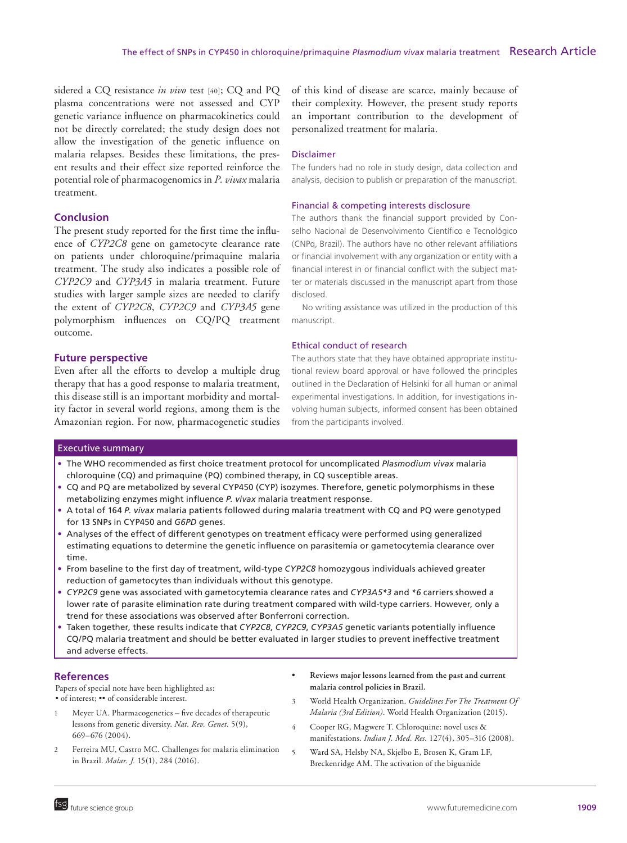sidered a CQ resistance *in vivo* test [40]; CQ and PQ plasma concentrations were not assessed and CYP genetic variance influence on pharmacokinetics could not be directly correlated; the study design does not allow the investigation of the genetic influence on malaria relapses. Besides these limitations, the present results and their effect size reported reinforce the potential role of pharmacogenomics in *P. vivax* malaria treatment.

## **Conclusion**

The present study reported for the first time the influence of *CYP2C8* gene on gametocyte clearance rate on patients under chloroquine/primaquine malaria treatment. The study also indicates a possible role of *CYP2C9* and *CYP3A5* in malaria treatment. Future studies with larger sample sizes are needed to clarify the extent of *CYP2C8*, *CYP2C9* and *CYP3A5* gene polymorphism influences on CQ/PQ treatment outcome.

## **Future perspective**

Even after all the efforts to develop a multiple drug therapy that has a good response to malaria treatment, this disease still is an important morbidity and mortality factor in several world regions, among them is the Amazonian region. For now, pharmacogenetic studies

of this kind of disease are scarce, mainly because of their complexity. However, the present study reports an important contribution to the development of personalized treatment for malaria.

#### Disclaimer

The funders had no role in study design, data collection and analysis, decision to publish or preparation of the manuscript.

#### Financial & competing interests disclosure

The authors thank the financial support provided by Conselho Nacional de Desenvolvimento Científico e Tecnológico (CNPq, Brazil). The authors have no other relevant affiliations or financial involvement with any organization or entity with a financial interest in or financial conflict with the subject matter or materials discussed in the manuscript apart from those disclosed.

No writing assistance was utilized in the production of this manuscript.

#### Ethical conduct of research

The authors state that they have obtained appropriate institutional review board approval or have followed the principles outlined in the Declaration of Helsinki for all human or animal experimental investigations. In addition, for investigations involving human subjects, informed consent has been obtained from the participants involved.

#### Executive summary

- • The WHO recommended as first choice treatment protocol for uncomplicated *Plasmodium vivax* malaria chloroquine (CQ) and primaquine (PQ) combined therapy, in CQ susceptible areas.
- • CQ and PQ are metabolized by several CYP450 (CYP) isozymes. Therefore, genetic polymorphisms in these metabolizing enzymes might influence *P. vivax* malaria treatment response.
- • A total of 164 *P. vivax* malaria patients followed during malaria treatment with CQ and PQ were genotyped for 13 SNPs in CYP450 and *G6PD* genes.
- • Analyses of the effect of different genotypes on treatment efficacy were performed using generalized estimating equations to determine the genetic influence on parasitemia or gametocytemia clearance over time.
- • From baseline to the first day of treatment, wild-type *CYP2C8* homozygous individuals achieved greater reduction of gametocytes than individuals without this genotype.
- • *CYP2C9* gene was associated with gametocytemia clearance rates and *CYP3A5\*3* and *\*6* carriers showed a lower rate of parasite elimination rate during treatment compared with wild-type carriers. However, only a trend for these associations was observed after Bonferroni correction.
- • Taken together, these results indicate that *CYP2C8*, *CYP2C9*, *CYP3A5* genetic variants potentially influence CQ/PQ malaria treatment and should be better evaluated in larger studies to prevent ineffective treatment and adverse effects.

#### **References**

Papers of special note have been highlighted as: • of interest; •• of considerable interest.

- Meyer UA. Pharmacogenetics five decades of therapeutic lessons from genetic diversity. *Nat. Rev. Genet.* 5(9), 669–676 (2004).
- 2 Ferreira MU, Castro MC. Challenges for malaria elimination in Brazil. *Malar. J.* 15(1), 284 (2016).
- **• Reviews major lessons learned from the past and current malaria control policies in Brazil.**
- 3 World Health Organization. *Guidelines For The Treatment Of Malaria (3rd Edition)*. World Health Organization (2015).
- 4 Cooper RG, Magwere T. Chloroquine: novel uses & manifestations. *Indian J. Med. Res.* 127(4), 305–316 (2008).
- 5 Ward SA, Helsby NA, Skjelbo E, Brosen K, Gram LF, Breckenridge AM. The activation of the biguanide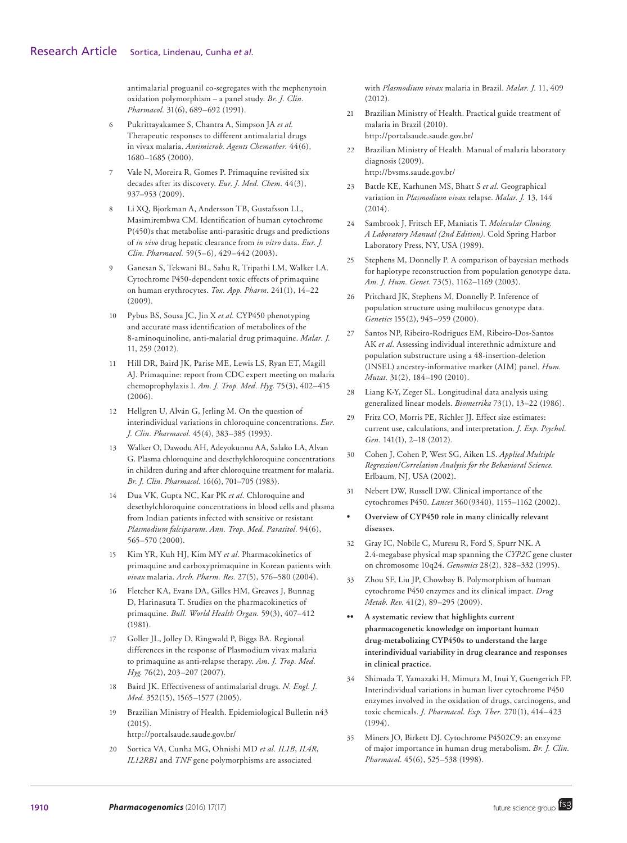antimalarial proguanil co-segregates with the mephenytoin oxidation polymorphism – a panel study. *Br. J. Clin. Pharmacol.* 31(6), 689–692 (1991).

- 6 Pukrittayakamee S, Chantra A, Simpson JA *et al.* Therapeutic responses to different antimalarial drugs in vivax malaria. *Antimicrob. Agents Chemother.* 44(6), 1680–1685 (2000).
- Vale N, Moreira R, Gomes P. Primaquine revisited six decades after its discovery. *Eur. J. Med. Chem.* 44(3), 937–953 (2009).
- 8 Li XQ, Bjorkman A, Andersson TB, Gustafsson LL, Masimirembwa CM. Identification of human cytochrome P(450)s that metabolise anti-parasitic drugs and predictions of *in vivo* drug hepatic clearance from *in vitro* data. *Eur. J. Clin. Pharmacol.* 59(5–6), 429–442 (2003).
- 9 Ganesan S, Tekwani BL, Sahu R, Tripathi LM, Walker LA. Cytochrome P450-dependent toxic effects of primaquine on human erythrocytes. *Tox. App. Pharm.* 241(1), 14–22 (2009).
- 10 Pybus BS, Sousa JC, Jin X *et al.* CYP450 phenotyping and accurate mass identification of metabolites of the 8-aminoquinoline, anti-malarial drug primaquine. *Malar. J.*  11, 259 (2012).
- 11 Hill DR, Baird JK, Parise ME, Lewis LS, Ryan ET, Magill AJ. Primaquine: report from CDC expert meeting on malaria chemoprophylaxis I. *Am. J. Trop. Med. Hyg.* 75(3), 402–415 (2006).
- 12 Hellgren U, Alván G, Jerling M. On the question of interindividual variations in chloroquine concentrations. *Eur. J. Clin. Pharmacol.* 45(4), 383–385 (1993).
- 13 Walker O, Dawodu AH, Adeyokunnu AA, Salako LA, Alvan G. Plasma chloroquine and desethylchloroquine concentrations in children during and after chloroquine treatment for malaria. *Br. J. Clin. Pharmacol.* 16(6), 701–705 (1983).
- 14 Dua VK, Gupta NC, Kar PK *et al.* Chloroquine and desethylchloroquine concentrations in blood cells and plasma from Indian patients infected with sensitive or resistant *Plasmodium falciparum*. *Ann. Trop. Med. Parasitol.* 94(6), 565–570 (2000).
- 15 Kim YR, Kuh HJ, Kim MY *et al.* Pharmacokinetics of primaquine and carboxyprimaquine in Korean patients with *vivax* malaria. *Arch. Pharm. Res.* 27(5), 576–580 (2004).
- 16 Fletcher KA, Evans DA, Gilles HM, Greaves J, Bunnag D, Harinasuta T. Studies on the pharmacokinetics of primaquine. *Bull. World Health Organ.* 59(3), 407–412 (1981).
- 17 Goller JL, Jolley D, Ringwald P, Biggs BA. Regional differences in the response of Plasmodium vivax malaria to primaquine as anti-relapse therapy. *Am. J. Trop. Med. Hyg.* 76(2), 203–207 (2007).
- 18 Baird JK. Effectiveness of antimalarial drugs. *N. Engl. J. Med.* 352(15), 1565–1577 (2005).
- 19 Brazilian Ministry of Health. Epidemiological Bulletin n43  $(2015).$

http://portalsaude.saude.gov.br/

20 Sortica VA, Cunha MG, Ohnishi MD *et al. IL1B*, *IL4R*, *IL12RB1* and *TNF* gene polymorphisms are associated

with *Plasmodium vivax* malaria in Brazil. *Malar. J.* 11, 409  $(2.012)$ .

- 21 Brazilian Ministry of Health. Practical guide treatment of malaria in Brazil (2010). http://portalsaude.saude.gov.br/
- 22 Brazilian Ministry of Health. Manual of malaria laboratory diagnosis (2009). http://bvsms.saude.gov.br/
- 23 Battle KE, Karhunen MS, Bhatt S *et al.* Geographical variation in *Plasmodium vivax* relapse. *Malar. J.* 13, 144 (2014).
- 24 Sambrook J, Fritsch EF, Maniatis T. *Molecular Cloning. A Laboratory Manual (2nd Edition).* Cold Spring Harbor Laboratory Press, NY, USA (1989).
- 25 Stephens M, Donnelly P. A comparison of bayesian methods for haplotype reconstruction from population genotype data. *Am. J. Hum. Genet.* 73(5), 1162–1169 (2003).
- 26 Pritchard JK, Stephens M, Donnelly P. Inference of population structure using multilocus genotype data. *Genetics* 155(2), 945–959 (2000).
- 27 Santos NP, Ribeiro-Rodrigues EM, Ribeiro-Dos-Santos AK *et al.* Assessing individual interethnic admixture and population substructure using a 48-insertion-deletion (INSEL) ancestry-informative marker (AIM) panel. *Hum. Mutat.* 31(2), 184–190 (2010).
- 28 Liang K-Y, Zeger SL. Longitudinal data analysis using generalized linear models. *Biometrika* 73(1), 13–22 (1986).
- 29 Fritz CO, Morris PE, Richler JJ. Effect size estimates: current use, calculations, and interpretation. *J. Exp. Psychol. Gen.* 141(1), 2–18 (2012).
- 30 Cohen J, Cohen P, West SG, Aiken LS. *Applied Multiple Regression/Correlation Analysis for the Behavioral Science.* Erlbaum, NJ, USA (2002).
- 31 Nebert DW, Russell DW. Clinical importance of the cytochromes P450. *Lancet* 360(9340), 1155–1162 (2002).
- **• Overview of CYP450 role in many clinically relevant diseases.**
- 32 Gray IC, Nobile C, Muresu R, Ford S, Spurr NK. A 2.4-megabase physical map spanning the *CYP2C* gene cluster on chromosome 10q24. *Genomics* 28(2), 328–332 (1995).
- 33 Zhou SF, Liu JP, Chowbay B. Polymorphism of human cytochrome P450 enzymes and its clinical impact. *Drug Metab. Rev.* 41(2), 89–295 (2009).
- **•• A systematic review that highlights current pharmacogenetic knowledge on important human drug-metabolizing CYP450s to understand the large interindividual variability in drug clearance and responses in clinical practice.**
- 34 Shimada T, Yamazaki H, Mimura M, Inui Y, Guengerich FP. Interindividual variations in human liver cytochrome P450 enzymes involved in the oxidation of drugs, carcinogens, and toxic chemicals. *J. Pharmacol. Exp. Ther.* 270(1), 414–423 (1994).
- 35 Miners JO, Birkett DJ. Cytochrome P4502C9: an enzyme of major importance in human drug metabolism. *Br. J. Clin. Pharmacol.* 45(6), 525–538 (1998).